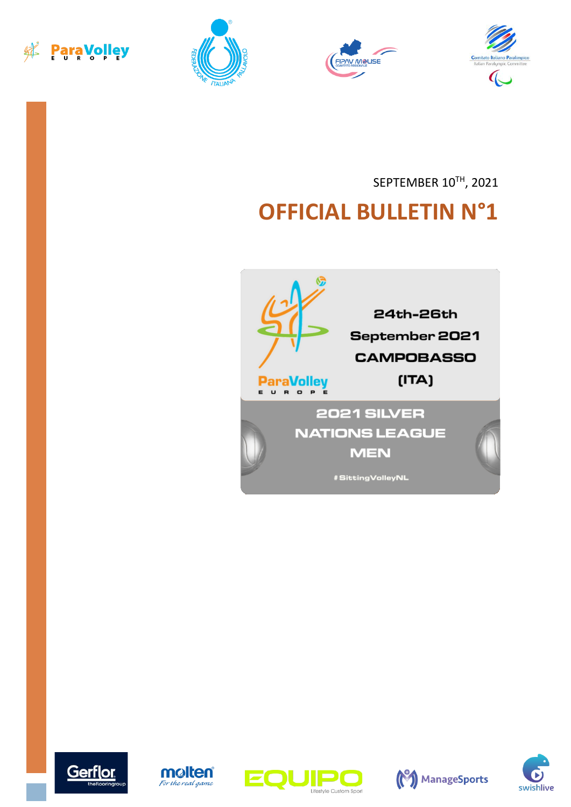







SEPTEMBER 10TH, 2021

# **OFFICIAL BULLETIN N°1**











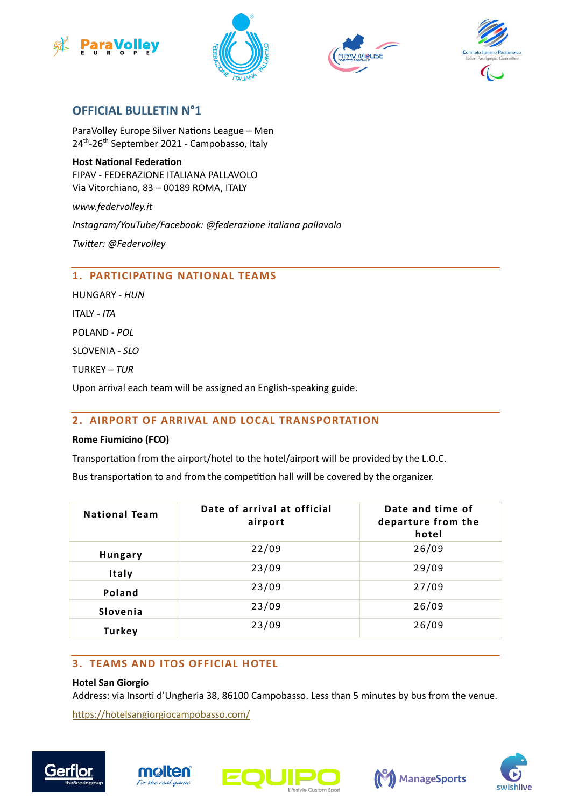







# **OFFICIAL BULLETIN N°1**

ParaVolley Europe Silver Nations League – Men 24<sup>th</sup>-26<sup>th</sup> September 2021 - Campobasso, Italy

**Host National Federation** FIPAV - FEDERAZIONE ITALIANA PALLAVOLO Via Vitorchiano, 83 – 00189 ROMA, ITALY

*www.federvolley.it* 

*Instagram/YouTube/Facebook: @federazione italiana pallavolo*

*Twitter: @Federvolley*

### **1. PARTICIPATING NATIONAL TEAMS**

HUNGARY - *HUN* ITALY - *ITA* POLAND - *POL* SLOVENIA - *SLO* TURKEY – *TUR* Upon arrival each team will be assigned an English-speaking guide.

#### **2. AIRPORT OF ARRIVAL AND LOCAL TRANSPORTATION**

#### **Rome Fiumicino (FCO)**

Transportation from the airport/hotel to the hotel/airport will be provided by the L.O.C.

Bus transportation to and from the competition hall will be covered by the organizer.

| <b>National Team</b> | Date of arrival at official<br>airport | Date and time of<br>departure from the<br>hotel |
|----------------------|----------------------------------------|-------------------------------------------------|
| <b>Hungary</b>       | 22/09                                  | 26/09                                           |
| Italy                | 23/09                                  | 29/09                                           |
| Poland               | 23/09                                  | 27/09                                           |
| Slovenia             | 23/09                                  | 26/09                                           |
| <b>Turkey</b>        | 23/09                                  | 26/09                                           |

## **3. TEAMS AND ITOS OFFICIAL HOTEL**

#### **Hotel San Giorgio**

Address: via Insorti d'Ungheria 38, 86100 Campobasso. Less than 5 minutes by bus from the venue.

<https://hotelsangiorgiocampobasso.com/>









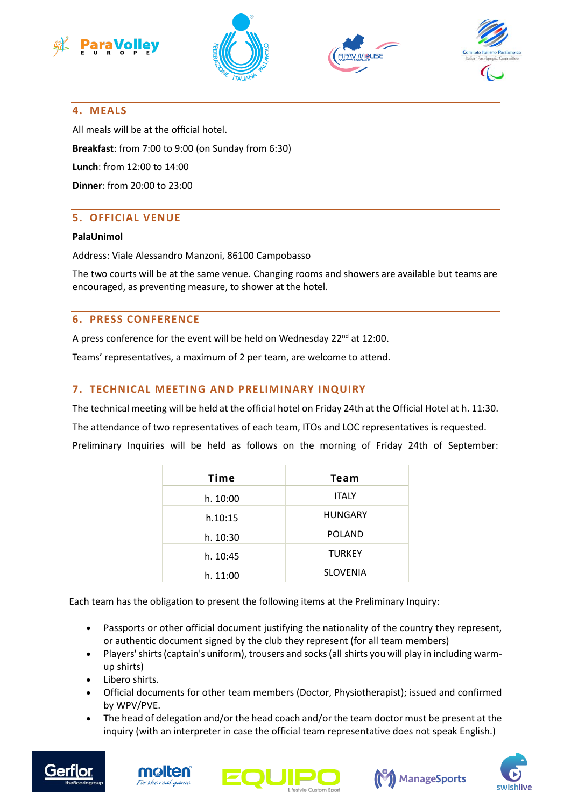







#### **4. MEALS**

All meals will be at the official hotel. **Breakfast**: from 7:00 to 9:00 (on Sunday from 6:30) **Lunch**: from 12:00 to 14:00 **Dinner**: from 20:00 to 23:00

#### **5. OFFICIAL VENUE**

#### **PalaUnimol**

Address: Viale Alessandro Manzoni, 86100 Campobasso

The two courts will be at the same venue. Changing rooms and showers are available but teams are encouraged, as preventing measure, to shower at the hotel.

#### **6. PRESS CONFERENCE**

A press conference for the event will be held on Wednesday 22<sup>nd</sup> at 12:00.

Teams' representatives, a maximum of 2 per team, are welcome to attend.

#### **7. TECHNICAL MEETING AND PRELIMINARY INQUIRY**

The technical meeting will be held at the official hotel on Friday 24th at the Official Hotel at h. 11:30.

The attendance of two representatives of each team, ITOs and LOC representatives is requested.

Preliminary Inquiries will be held as follows on the morning of Friday 24th of September:

| Time     | Team            |
|----------|-----------------|
| h. 10:00 | <b>ITALY</b>    |
| h.10:15  | <b>HUNGARY</b>  |
| h. 10:30 | <b>POLAND</b>   |
| h. 10:45 | <b>TURKEY</b>   |
| h. 11:00 | <b>SLOVENIA</b> |

Each team has the obligation to present the following items at the Preliminary Inquiry:

- Passports or other official document justifying the nationality of the country they represent, or authentic document signed by the club they represent (for all team members)
- Players' shirts (captain's uniform), trousers and socks (all shirts you will play in including warmup shirts)
- Libero shirts.
- Official documents for other team members (Doctor, Physiotherapist); issued and confirmed by WPV/PVE.
- The head of delegation and/or the head coach and/or the team doctor must be present at the inquiry (with an interpreter in case the official team representative does not speak English.)









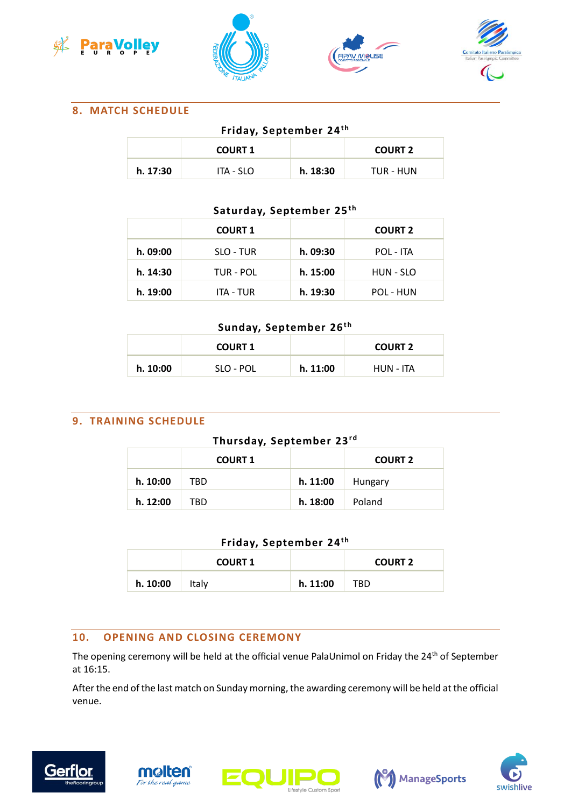







## **8. MATCH SCHEDULE**

# **Friday, September 24<sup>th</sup>**

|          | <b>COURT 1</b> |          | <b>COURT 2</b> |
|----------|----------------|----------|----------------|
| h. 17:30 | ITA - SLO      | h. 18:30 | TUR - HUN      |

## Saturday, September 25<sup>th</sup>

|          | <b>COURT 1</b> |          | <b>COURT 2</b>   |
|----------|----------------|----------|------------------|
| h. 09:00 | SLO - TUR      | h. 09:30 | <b>POL - ITA</b> |
| h. 14:30 | TUR - POL      | h. 15:00 | HUN - SLO        |
| h. 19:00 | ITA - TUR      | h. 19:30 | POL - HUN        |

### **Sunday, September 26th**

|          | <b>COURT 1</b> |          | <b>COURT 2</b> |
|----------|----------------|----------|----------------|
| h. 10:00 | SLO - POL      | h. 11:00 | HUN - ITA      |

## **9. TRAINING SCHEDULE**

## **Thursday, September 23rd**

|          | <b>COURT 1</b> |          | <b>COURT 2</b> |
|----------|----------------|----------|----------------|
| h. 10:00 | TBD            | h. 11:00 | Hungary        |
| h. 12:00 | TBD            | h. 18:00 | Poland         |

# Friday, September 24<sup>th</sup>

|          | <b>COURT 1</b> |          | <b>COURT 2</b> |
|----------|----------------|----------|----------------|
| h. 10:00 | Italy          | h. 11:00 | TBD            |

#### **10. OPENING AND CLOSING CEREMONY**

The opening ceremony will be held at the official venue PalaUnimol on Friday the 24<sup>th</sup> of September at 16:15.

After the end of the last match on Sunday morning, the awarding ceremony will be held at the official venue.









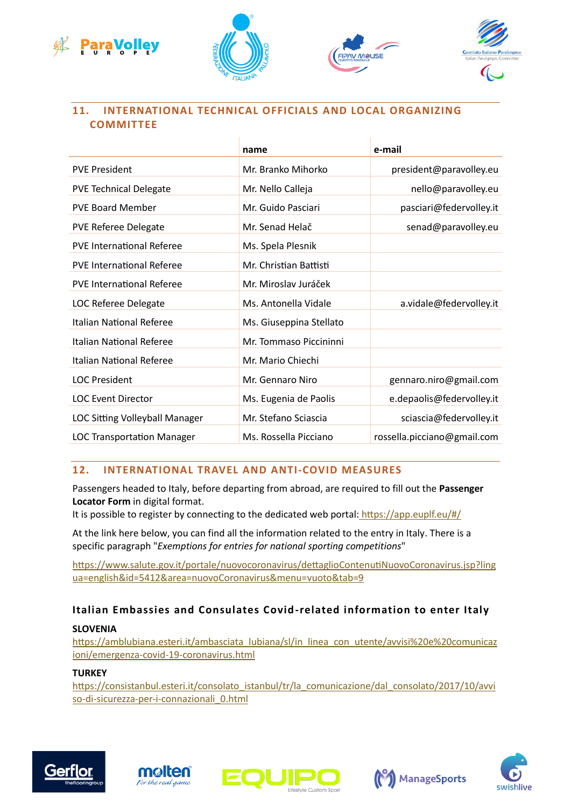



 $\mathcal{A}$ 

Ŷ.



# **11. INTERNATIONAL TECHNICAL OFFICIALS AND LOCAL ORGANIZING COMMITTEE**

|                                   | name                    | e-mail                      |
|-----------------------------------|-------------------------|-----------------------------|
| <b>PVE President</b>              | Mr. Branko Mihorko      | president@paravolley.eu     |
| <b>PVE Technical Delegate</b>     | Mr. Nello Calleja       | nello@paravolley.eu         |
| <b>PVE Board Member</b>           | Mr. Guido Pasciari      | pasciari@federvolley.it     |
| <b>PVE Referee Delegate</b>       | Mr. Senad Helač         | senad@paravolley.eu         |
| <b>PVE International Referee</b>  | Ms. Spela Plesnik       |                             |
| <b>PVE International Referee</b>  | Mr. Christian Battisti  |                             |
| <b>PVE International Referee</b>  | Mr. Miroslav Juráček    |                             |
| <b>LOC Referee Delegate</b>       | Ms. Antonella Vidale    | a.vidale@federvolley.it     |
| <b>Italian National Referee</b>   | Ms. Giuseppina Stellato |                             |
| Italian National Referee          | Mr. Tommaso Piccininni  |                             |
| Italian National Referee          | Mr. Mario Chiechi       |                             |
| <b>LOC President</b>              | Mr. Gennaro Niro        | gennaro.niro@gmail.com      |
| <b>LOC Event Director</b>         | Ms. Eugenia de Paolis   | e.depaolis@federvolley.it   |
| LOC Sitting Volleyball Manager    | Mr. Stefano Sciascia    | sciascia@federvolley.it     |
| <b>LOC Transportation Manager</b> | Ms. Rossella Picciano   | rossella.picciano@gmail.com |

# **12. INTERNATIONAL TRAVEL AND ANTI-COVID MEASURES**

Passengers headed to Italy, before departing from abroad, are required to fill out the **Passenger Locator Form** in digital format.

It is possible to register by connecting to the dedicated web portal: <https://app.euplf.eu/#/>

At the link here below, you can find all the information related to the entry in Italy. There is a specific paragraph "*Exemptions for entries for national sporting competitions*"

[https://www.salute.gov.it/portale/nuovocoronavirus/dettaglioContenutiNuovoCoronavirus.jsp?ling](https://www.salute.gov.it/portale/nuovocoronavirus/dettaglioContenutiNuovoCoronavirus.jsp?lingua=english&id=5412&area=nuovoCoronavirus&menu=vuoto&tab=9) [ua=english&id=5412&area=nuovoCoronavirus&menu=vuoto&tab=9](https://www.salute.gov.it/portale/nuovocoronavirus/dettaglioContenutiNuovoCoronavirus.jsp?lingua=english&id=5412&area=nuovoCoronavirus&menu=vuoto&tab=9)

# **Italian Embassies and Consulates Covid-related information to enter Italy**

#### **SLOVENIA**

https://amblubiana.esteri.it/ambasciata lubiana/sl/in linea con utente/avvisi%20e%20comunicaz [ioni/emergenza-covid-19-coronavirus.html](https://amblubiana.esteri.it/ambasciata_lubiana/sl/in_linea_con_utente/avvisi%20e%20comunicazioni/emergenza-covid-19-coronavirus.html)

## **TURKEY**

[https://consistanbul.esteri.it/consolato\\_istanbul/tr/la\\_comunicazione/dal\\_consolato/2017/10/avvi](https://consistanbul.esteri.it/consolato_istanbul/tr/la_comunicazione/dal_consolato/2017/10/avviso-di-sicurezza-per-i-connazionali_0.html) [so-di-sicurezza-per-i-connazionali\\_0.html](https://consistanbul.esteri.it/consolato_istanbul/tr/la_comunicazione/dal_consolato/2017/10/avviso-di-sicurezza-per-i-connazionali_0.html)









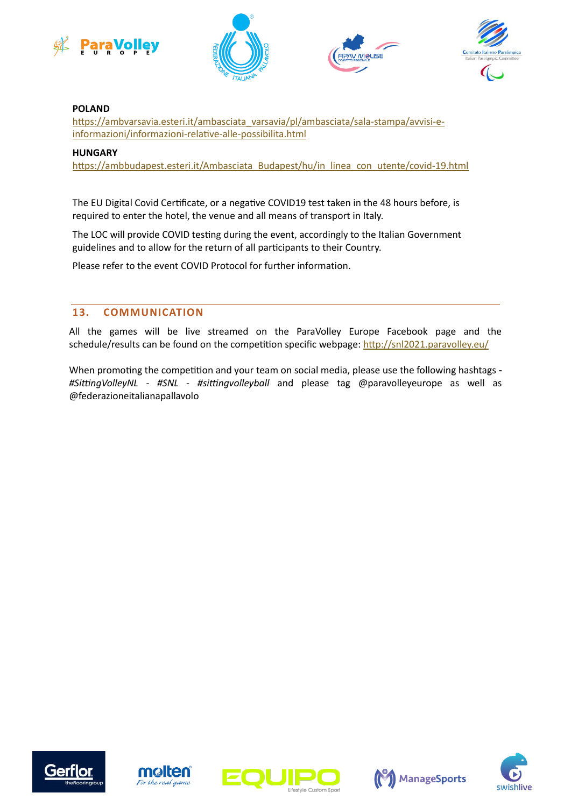







#### **POLAND**

[https://ambvarsavia.esteri.it/ambasciata\\_varsavia/pl/ambasciata/sala-stampa/avvisi-e](https://ambvarsavia.esteri.it/ambasciata_varsavia/pl/ambasciata/sala-stampa/avvisi-e-informazioni/informazioni-relative-alle-possibilita.html)[informazioni/informazioni-relative-alle-possibilita.html](https://ambvarsavia.esteri.it/ambasciata_varsavia/pl/ambasciata/sala-stampa/avvisi-e-informazioni/informazioni-relative-alle-possibilita.html)

#### **HUNGARY**

[https://ambbudapest.esteri.it/Ambasciata\\_Budapest/hu/in\\_linea\\_con\\_utente/covid-19.html](https://ambbudapest.esteri.it/Ambasciata_Budapest/hu/in_linea_con_utente/covid-19.html)

The EU Digital Covid Certificate, or a negative COVID19 test taken in the 48 hours before, is required to enter the hotel, the venue and all means of transport in Italy.

The LOC will provide COVID testing during the event, accordingly to the Italian Government guidelines and to allow for the return of all participants to their Country.

Please refer to the event COVID Protocol for further information.

#### **13. COMMUNICATION**

All the games will be live streamed on the ParaVolley Europe Facebook page and the schedule/results can be found on the competition specific webpage[: http://snl2021.paravolley.eu/](http://snl2021.paravolley.eu/)

When promoting the competition and your team on social media, please use the following hashtags **-** *#SittingVolleyNL* - *#SNL* - *#sittingvolleyball* and please tag @paravolleyeurope as well as @federazioneitalianapallavolo